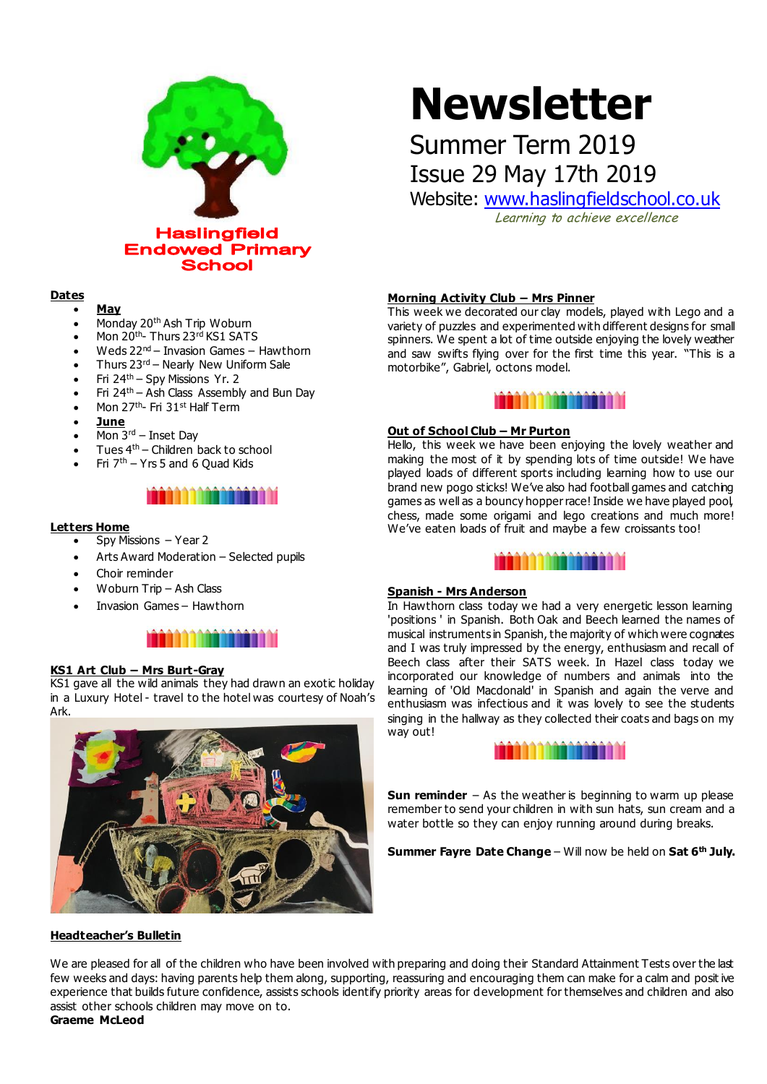

# **Newsletter**

## Summer Term 2019 Issue 29 May 17th 2019

Website: [www.haslingfieldschool.co.uk](http://www.haslingfieldschool.co.uk/)

Learning to achieve excellence

#### **Dates**

#### **May**

- Monday 20th Ash Trip Woburn
- Mon 20<sup>th</sup>- Thurs 23<sup>rd</sup> KS1 SATS
- Weds 22nd Invasion Games Hawthorn
- Thurs 23rd Nearly New Uniform Sale
- Fri 24th Spy Missions Yr. 2
- Fri 24th Ash Class Assembly and Bun Day
- Mon 27<sup>th</sup>- Fri 31<sup>st</sup> Half Term
- **June**
- $\bullet$  Mon 3<sup>rd</sup> Inset Dav
- Tues 4th Children back to school
- Fri  $7<sup>th</sup>$  Yrs 5 and 6 Quad Kids

### aaaaaaaaaaaaa

#### **Letters Home**

- Spy Missions Year 2
- Arts Award Moderation Selected pupils
- Choir reminder
- Woburn Trip Ash Class
- Invasion Games Hawthorn



#### **KS1 Art Club – Mrs Burt-Gray**

KS1 gave all the wild animals they had drawn an exotic holiday in a Luxury Hotel - travel to the hotel was courtesy of Noah's Ark.



#### **Headteacher's Bulletin**

#### **Morning Activity Club – Mrs Pinner**

This week we decorated our clay models, played with Lego and a variety of puzzles and experimented with different designs for small spinners. We spent a lot of time outside enjoying the lovely weather and saw swifts flying over for the first time this year. "This is a motorbike", Gabriel, octons model.



#### **Out of School Club – Mr Purton**

Hello, this week we have been enjoying the lovely weather and making the most of it by spending lots of time outside! We have played loads of different sports including learning how to use our brand new pogo sticks! We've also had football games and catching games as well as a bouncy hopper race! Inside we have played pool, chess, made some origami and lego creations and much more! We've eaten loads of fruit and maybe a few croissants too!



#### **Spanish - Mrs Anderson**

In Hawthorn class today we had a very energetic lesson learning 'positions ' in Spanish. Both Oak and Beech learned the names of musical instruments in Spanish, the majority of which were cognates and I was truly impressed by the energy, enthusiasm and recall of Beech class after their SATS week. In Hazel class today we incorporated our knowledge of numbers and animals into the learning of 'Old Macdonald' in Spanish and again the verve and enthusiasm was infectious and it was lovely to see the students singing in the hallway as they collected their coats and bags on my way out!



**Sun reminder** – As the weather is beginning to warm up please remember to send your children in with sun hats, sun cream and a water bottle so they can enjoy running around during breaks.

**Summer Fayre Date Change** – Will now be held on **Sat 6 th July.**

We are pleased for all of the children who have been involved with preparing and doing their Standard Attainment Tests over the last few weeks and days: having parents help them along, supporting, reassuring and encouraging them can make for a calm and posit ive experience that builds future confidence, assists schools identify priority areas for development for themselves and children and also assist other schools children may move on to.

#### **Graeme McLeod**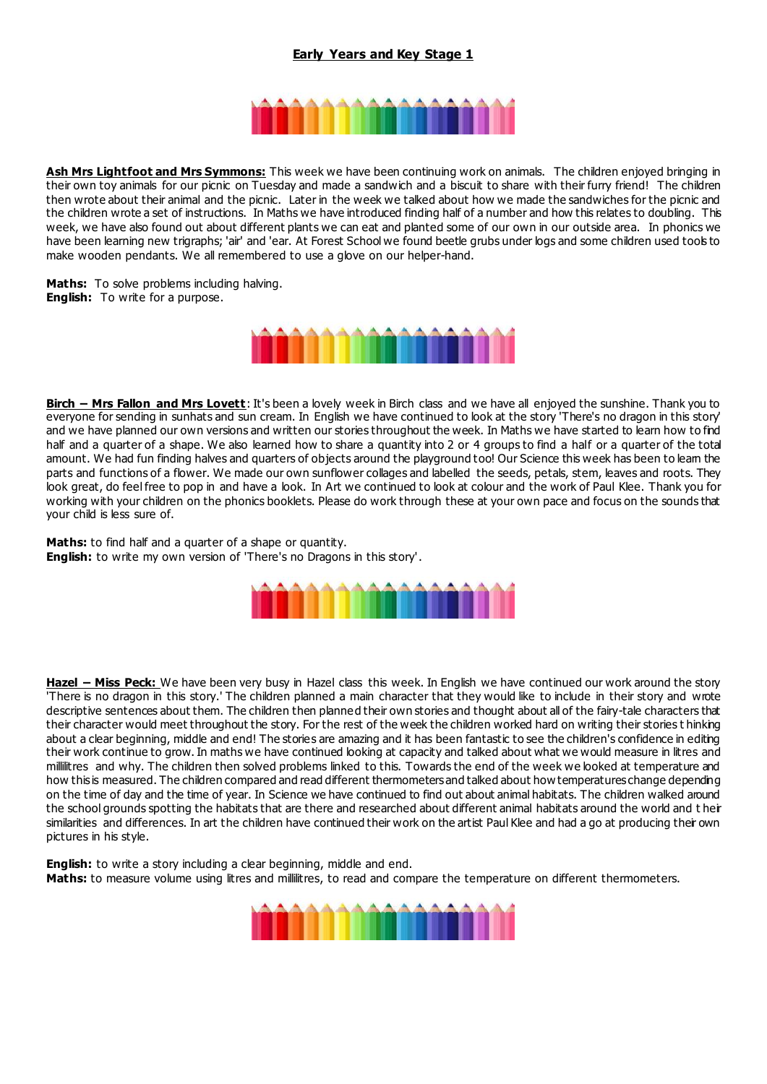#### **Early Years and Key Stage 1**



**Ash Mrs Lightfoot and Mrs Symmons:** This week we have been continuing work on animals. The children enjoyed bringing in their own toy animals for our picnic on Tuesday and made a sandwich and a biscuit to share with their furry friend! The children then wrote about their animal and the picnic. Later in the week we talked about how we made the sandwiches for the picnic and the children wrote a set of instructions. In Maths we have introduced finding half of a number and how this relates to doubling. This week, we have also found out about different plants we can eat and planted some of our own in our outside area. In phonics we have been learning new trigraphs; 'air' and 'ear. At Forest School we found beetle grubs under logs and some children used tools to make wooden pendants. We all remembered to use a glove on our helper-hand.

**Maths:** To solve problems including halving. **English:** To write for a purpose.



**Birch – Mrs Fallon and Mrs Lovett**: It's been a lovely week in Birch class and we have all enjoyed the sunshine. Thank you to everyone for sending in sunhats and sun cream. In English we have continued to look at the story 'There's no dragon in this story' and we have planned our own versions and written our stories throughout the week. In Maths we have started to learn how to find half and a quarter of a shape. We also learned how to share a quantity into 2 or 4 groups to find a half or a quarter of the total amount. We had fun finding halves and quarters of objects around the playground too! Our Science this week has been to leam the parts and functions of a flower. We made our own sunflower collages and labelled the seeds, petals, stem, leaves and roots. They look great, do feel free to pop in and have a look. In Art we continued to look at colour and the work of Paul Klee. Thank you for working with your children on the phonics booklets. Please do work through these at your own pace and focus on the sounds that your child is less sure of.

**Maths:** to find half and a quarter of a shape or quantity. **English:** to write my own version of 'There's no Dragons in this story'.



**Hazel – Miss Peck:** We have been very busy in Hazel class this week. In English we have continued our work around the story 'There is no dragon in this story.' The children planned a main character that they would like to include in their story and wrote descriptive sentences about them. The children then planned their own stories and thought about all of the fairy-tale characters that their character would meet throughout the story. For the rest of the week the children worked hard on writing their stories t hinking about a clear beginning, middle and end! The stories are amazing and it has been fantastic to see the children's confidence in editing their work continue to grow. In maths we have continued looking at capacity and talked about what we would measure in litres and millilitres and why. The children then solved problems linked to this. Towards the end of the week we looked at temperature and how this is measured. The children compared and read different thermometers and talked about how temperatures change depending on the time of day and the time of year. In Science we have continued to find out about animal habitats. The children walked around the school grounds spotting the habitats that are there and researched about different animal habitats around the world and t heir similarities and differences. In art the children have continued their work on the artist Paul Klee and had a go at producing their own pictures in his style.

**English:** to write a story including a clear beginning, middle and end. **Maths:** to measure volume using litres and millilitres, to read and compare the temperature on different thermometers.